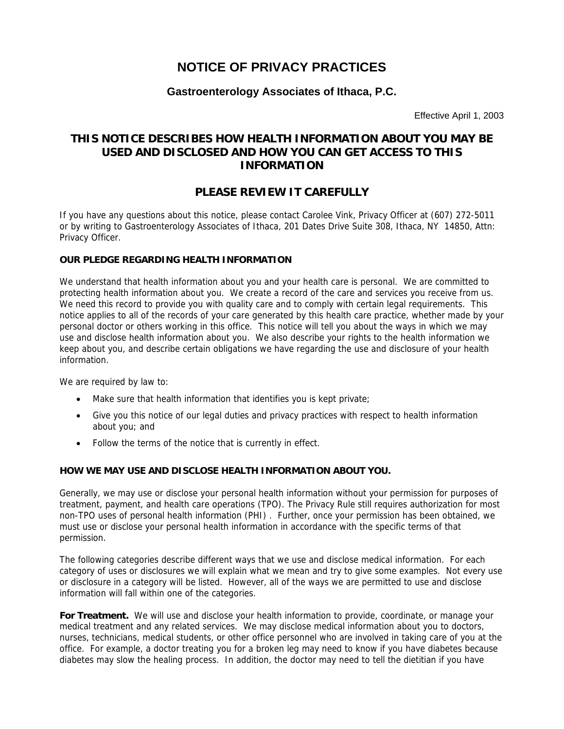# **NOTICE OF PRIVACY PRACTICES**

## **Gastroenterology Associates of Ithaca, P.C.**

Effective April 1, 2003

# **THIS NOTICE DESCRIBES HOW HEALTH INFORMATION ABOUT YOU MAY BE USED AND DISCLOSED AND HOW YOU CAN GET ACCESS TO THIS INFORMATION**

# **PLEASE REVIEW IT CAREFULLY**

If you have any questions about this notice, please contact Carolee Vink, Privacy Officer at (607) 272-5011 or by writing to Gastroenterology Associates of Ithaca, 201 Dates Drive Suite 308, Ithaca, NY 14850, Attn: Privacy Officer.

#### **OUR PLEDGE REGARDING HEALTH INFORMATION**

We understand that health information about you and your health care is personal. We are committed to protecting health information about you. We create a record of the care and services you receive from us. We need this record to provide you with quality care and to comply with certain legal requirements. This notice applies to all of the records of your care generated by this health care practice, whether made by your personal doctor or others working in this office. This notice will tell you about the ways in which we may use and disclose health information about you. We also describe your rights to the health information we keep about you, and describe certain obligations we have regarding the use and disclosure of your health information.

We are required by law to:

- Make sure that health information that identifies you is kept private;
- Give you this notice of our legal duties and privacy practices with respect to health information about you; and
- Follow the terms of the notice that is currently in effect.

### **HOW WE MAY USE AND DISCLOSE HEALTH INFORMATION ABOUT YOU.**

Generally, we may use or disclose your personal health information without your permission for purposes of treatment, payment, and health care operations (TPO). The Privacy Rule still requires authorization for most non-TPO uses of personal health information (PHI) . Further, once your permission has been obtained, we must use or disclose your personal health information in accordance with the specific terms of that permission.

The following categories describe different ways that we use and disclose medical information. For each category of uses or disclosures we will explain what we mean and try to give some examples. Not every use or disclosure in a category will be listed. However, all of the ways we are permitted to use and disclose information will fall within one of the categories.

**For Treatment.** We will use and disclose your health information to provide, coordinate, or manage your medical treatment and any related services. We may disclose medical information about you to doctors, nurses, technicians, medical students, or other office personnel who are involved in taking care of you at the office. For example, a doctor treating you for a broken leg may need to know if you have diabetes because diabetes may slow the healing process. In addition, the doctor may need to tell the dietitian if you have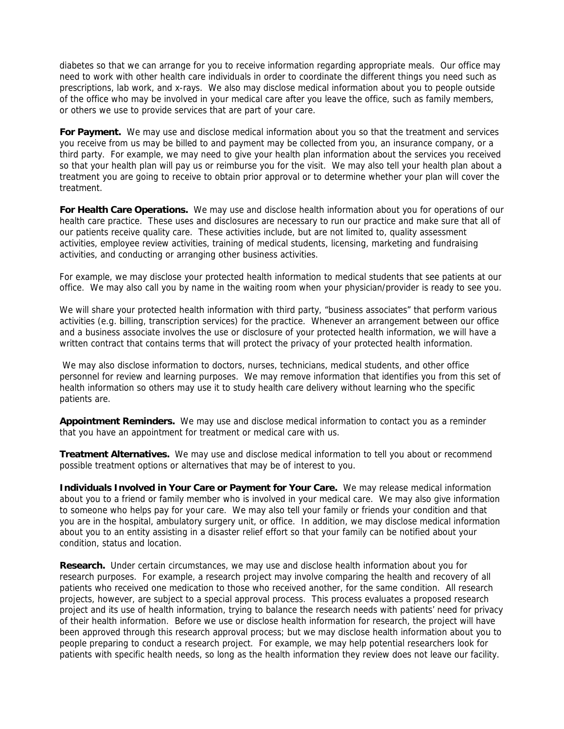diabetes so that we can arrange for you to receive information regarding appropriate meals. Our office may need to work with other health care individuals in order to coordinate the different things you need such as prescriptions, lab work, and x-rays. We also may disclose medical information about you to people outside of the office who may be involved in your medical care after you leave the office, such as family members, or others we use to provide services that are part of your care.

For Payment. We may use and disclose medical information about you so that the treatment and services you receive from us may be billed to and payment may be collected from you, an insurance company, or a third party. For example, we may need to give your health plan information about the services you received so that your health plan will pay us or reimburse you for the visit. We may also tell your health plan about a treatment you are going to receive to obtain prior approval or to determine whether your plan will cover the treatment.

**For Health Care Operations.** We may use and disclose health information about you for operations of our health care practice. These uses and disclosures are necessary to run our practice and make sure that all of our patients receive quality care. These activities include, but are not limited to, quality assessment activities, employee review activities, training of medical students, licensing, marketing and fundraising activities, and conducting or arranging other business activities.

For example, we may disclose your protected health information to medical students that see patients at our office. We may also call you by name in the waiting room when your physician/provider is ready to see you.

We will share your protected health information with third party, "business associates" that perform various activities (e.g. billing, transcription services) for the practice. Whenever an arrangement between our office and a business associate involves the use or disclosure of your protected health information, we will have a written contract that contains terms that will protect the privacy of your protected health information.

We may also disclose information to doctors, nurses, technicians, medical students, and other office personnel for review and learning purposes. We may remove information that identifies you from this set of health information so others may use it to study health care delivery without learning who the specific patients are.

**Appointment Reminders.** We may use and disclose medical information to contact you as a reminder that you have an appointment for treatment or medical care with us.

**Treatment Alternatives.** We may use and disclose medical information to tell you about or recommend possible treatment options or alternatives that may be of interest to you.

**Individuals Involved in Your Care or Payment for Your Care.** We may release medical information about you to a friend or family member who is involved in your medical care. We may also give information to someone who helps pay for your care. We may also tell your family or friends your condition and that you are in the hospital, ambulatory surgery unit, or office. In addition, we may disclose medical information about you to an entity assisting in a disaster relief effort so that your family can be notified about your condition, status and location.

**Research.** Under certain circumstances, we may use and disclose health information about you for research purposes. For example, a research project may involve comparing the health and recovery of all patients who received one medication to those who received another, for the same condition. All research projects, however, are subject to a special approval process. This process evaluates a proposed research project and its use of health information, trying to balance the research needs with patients' need for privacy of their health information. Before we use or disclose health information for research, the project will have been approved through this research approval process; but we may disclose health information about you to people preparing to conduct a research project. For example, we may help potential researchers look for patients with specific health needs, so long as the health information they review does not leave our facility.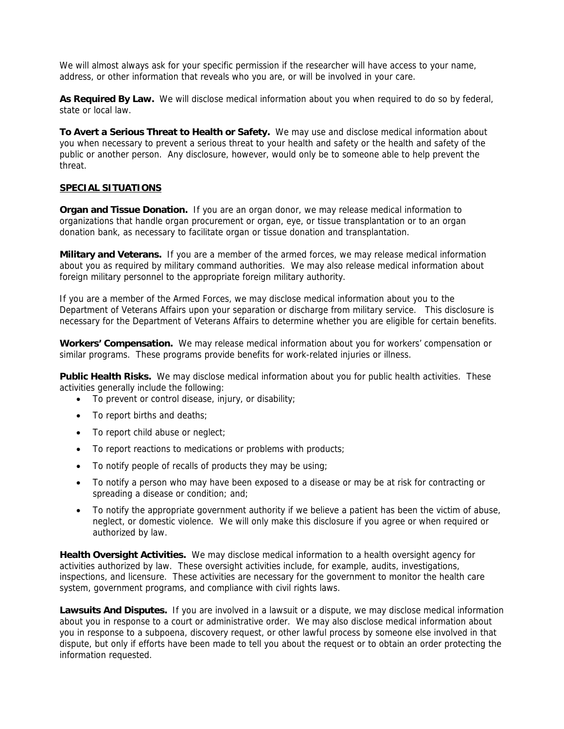We will almost always ask for your specific permission if the researcher will have access to your name, address, or other information that reveals who you are, or will be involved in your care.

**As Required By Law.** We will disclose medical information about you when required to do so by federal, state or local law.

**To Avert a Serious Threat to Health or Safety.** We may use and disclose medical information about you when necessary to prevent a serious threat to your health and safety or the health and safety of the public or another person. Any disclosure, however, would only be to someone able to help prevent the threat.

#### **SPECIAL SITUATIONS**

**Organ and Tissue Donation.** If you are an organ donor, we may release medical information to organizations that handle organ procurement or organ, eye, or tissue transplantation or to an organ donation bank, as necessary to facilitate organ or tissue donation and transplantation.

**Military and Veterans.** If you are a member of the armed forces, we may release medical information about you as required by military command authorities. We may also release medical information about foreign military personnel to the appropriate foreign military authority.

If you are a member of the Armed Forces, we may disclose medical information about you to the Department of Veterans Affairs upon your separation or discharge from military service. This disclosure is necessary for the Department of Veterans Affairs to determine whether you are eligible for certain benefits.

**Workers' Compensation.** We may release medical information about you for workers' compensation or similar programs. These programs provide benefits for work-related injuries or illness.

**Public Health Risks.** We may disclose medical information about you for public health activities. These activities generally include the following:

- To prevent or control disease, injury, or disability;
- To report births and deaths;
- To report child abuse or neglect;
- To report reactions to medications or problems with products;
- To notify people of recalls of products they may be using;
- To notify a person who may have been exposed to a disease or may be at risk for contracting or spreading a disease or condition; and;
- To notify the appropriate government authority if we believe a patient has been the victim of abuse, neglect, or domestic violence. We will only make this disclosure if you agree or when required or authorized by law.

**Health Oversight Activities.** We may disclose medical information to a health oversight agency for activities authorized by law. These oversight activities include, for example, audits, investigations, inspections, and licensure. These activities are necessary for the government to monitor the health care system, government programs, and compliance with civil rights laws.

**Lawsuits And Disputes.** If you are involved in a lawsuit or a dispute, we may disclose medical information about you in response to a court or administrative order. We may also disclose medical information about you in response to a subpoena, discovery request, or other lawful process by someone else involved in that dispute, but only if efforts have been made to tell you about the request or to obtain an order protecting the information requested.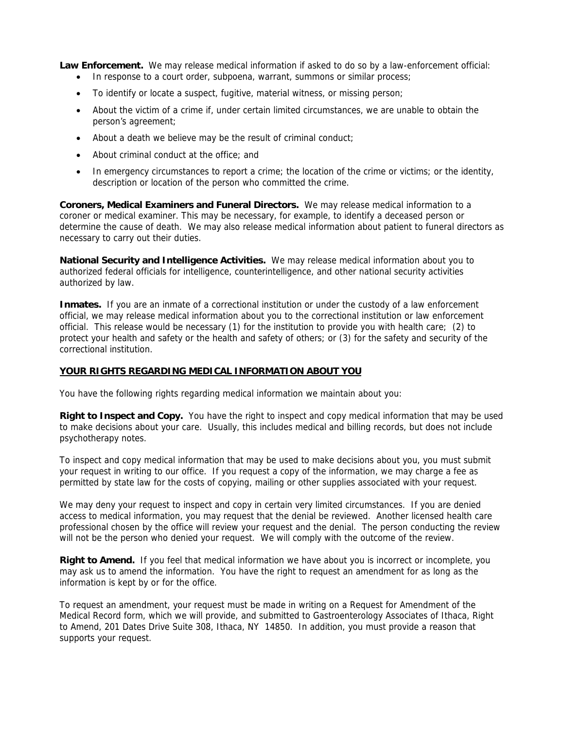**Law Enforcement.** We may release medical information if asked to do so by a law-enforcement official:

- In response to a court order, subpoena, warrant, summons or similar process;
- To identify or locate a suspect, fugitive, material witness, or missing person;
- About the victim of a crime if, under certain limited circumstances, we are unable to obtain the person's agreement;
- About a death we believe may be the result of criminal conduct;
- About criminal conduct at the office; and
- In emergency circumstances to report a crime; the location of the crime or victims; or the identity, description or location of the person who committed the crime.

**Coroners, Medical Examiners and Funeral Directors.** We may release medical information to a coroner or medical examiner. This may be necessary, for example, to identify a deceased person or determine the cause of death. We may also release medical information about patient to funeral directors as necessary to carry out their duties.

**National Security and Intelligence Activities.** We may release medical information about you to authorized federal officials for intelligence, counterintelligence, and other national security activities authorized by law.

**Inmates.** If you are an inmate of a correctional institution or under the custody of a law enforcement official, we may release medical information about you to the correctional institution or law enforcement official. This release would be necessary (1) for the institution to provide you with health care; (2) to protect your health and safety or the health and safety of others; or (3) for the safety and security of the correctional institution.

### **YOUR RIGHTS REGARDING MEDICAL INFORMATION ABOUT YOU**

You have the following rights regarding medical information we maintain about you:

**Right to Inspect and Copy.** You have the right to inspect and copy medical information that may be used to make decisions about your care. Usually, this includes medical and billing records, but does not include psychotherapy notes.

To inspect and copy medical information that may be used to make decisions about you, you must submit your request in writing to our office. If you request a copy of the information, we may charge a fee as permitted by state law for the costs of copying, mailing or other supplies associated with your request.

We may deny your request to inspect and copy in certain very limited circumstances. If you are denied access to medical information, you may request that the denial be reviewed. Another licensed health care professional chosen by the office will review your request and the denial. The person conducting the review will not be the person who denied your request. We will comply with the outcome of the review.

**Right to Amend.** If you feel that medical information we have about you is incorrect or incomplete, you may ask us to amend the information. You have the right to request an amendment for as long as the information is kept by or for the office.

To request an amendment, your request must be made in writing on a Request for Amendment of the Medical Record form, which we will provide, and submitted to Gastroenterology Associates of Ithaca, Right to Amend, 201 Dates Drive Suite 308, Ithaca, NY 14850. In addition, you must provide a reason that supports your request.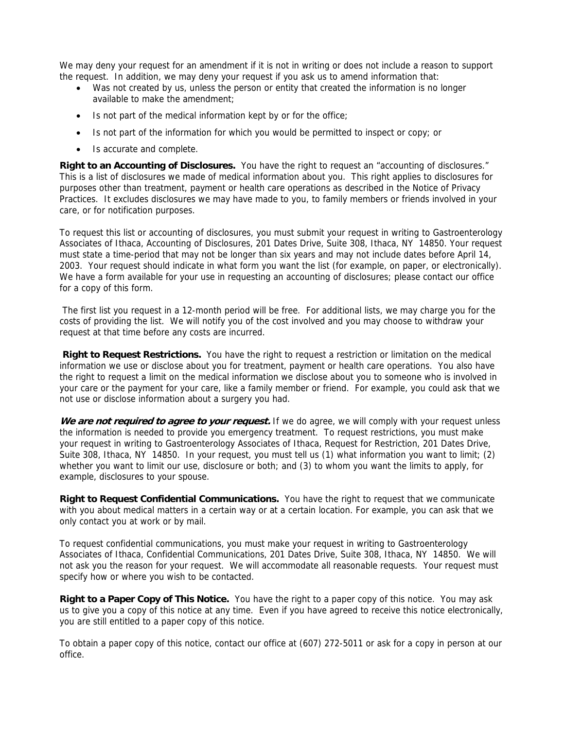We may deny your request for an amendment if it is not in writing or does not include a reason to support the request. In addition, we may deny your request if you ask us to amend information that:

- Was not created by us, unless the person or entity that created the information is no longer available to make the amendment;
- Is not part of the medical information kept by or for the office;
- Is not part of the information for which you would be permitted to inspect or copy; or
- Is accurate and complete.

**Right to an Accounting of Disclosures.** You have the right to request an "accounting of disclosures." This is a list of disclosures we made of medical information about you. This right applies to disclosures for purposes other than treatment, payment or health care operations as described in the Notice of Privacy Practices. It excludes disclosures we may have made to you, to family members or friends involved in your care, or for notification purposes.

To request this list or accounting of disclosures, you must submit your request in writing to Gastroenterology Associates of Ithaca, Accounting of Disclosures, 201 Dates Drive, Suite 308, Ithaca, NY 14850. Your request must state a time-period that may not be longer than six years and may not include dates before April 14, 2003. Your request should indicate in what form you want the list (for example, on paper, or electronically). We have a form available for your use in requesting an accounting of disclosures; please contact our office for a copy of this form.

 The first list you request in a 12-month period will be free. For additional lists, we may charge you for the costs of providing the list. We will notify you of the cost involved and you may choose to withdraw your request at that time before any costs are incurred.

**Right to Request Restrictions.** You have the right to request a restriction or limitation on the medical information we use or disclose about you for treatment, payment or health care operations. You also have the right to request a limit on the medical information we disclose about you to someone who is involved in your care or the payment for your care, like a family member or friend. For example, you could ask that we not use or disclose information about a surgery you had.

We are not required to agree to your request. If we do agree, we will comply with your request unless the information is needed to provide you emergency treatment. To request restrictions, you must make your request in writing to Gastroenterology Associates of Ithaca, Request for Restriction, 201 Dates Drive, Suite 308, Ithaca, NY 14850. In your request, you must tell us (1) what information you want to limit; (2) whether you want to limit our use, disclosure or both; and (3) to whom you want the limits to apply, for example, disclosures to your spouse.

**Right to Request Confidential Communications.** You have the right to request that we communicate with you about medical matters in a certain way or at a certain location. For example, you can ask that we only contact you at work or by mail.

To request confidential communications, you must make your request in writing to Gastroenterology Associates of Ithaca, Confidential Communications, 201 Dates Drive, Suite 308, Ithaca, NY 14850. We will not ask you the reason for your request. We will accommodate all reasonable requests. Your request must specify how or where you wish to be contacted.

**Right to a Paper Copy of This Notice.** You have the right to a paper copy of this notice. You may ask us to give you a copy of this notice at any time. Even if you have agreed to receive this notice electronically, you are still entitled to a paper copy of this notice.

To obtain a paper copy of this notice, contact our office at (607) 272-5011 or ask for a copy in person at our office.